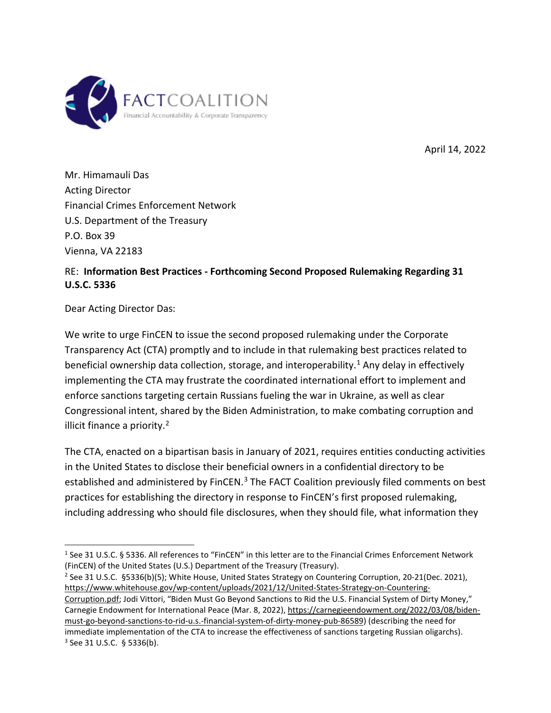

April 14, 2022

Mr. Himamauli Das Acting Director Financial Crimes Enforcement Network U.S. Department of the Treasury P.O. Box 39 Vienna, VA 22183

## RE: **Information Best Practices - Forthcoming Second Proposed Rulemaking Regarding 31 U.S.C. 5336**

Dear Acting Director Das:

We write to urge FinCEN to issue the second proposed rulemaking under the Corporate Transparency Act (CTA) promptly and to include in that rulemaking best practices related to beneficial ownership data collection, storage, and interoperability.<sup>[1](#page-0-0)</sup> Any delay in effectively implementing the CTA may frustrate the coordinated international effort to implement and enforce sanctions targeting certain Russians fueling the war in Ukraine, as well as clear Congressional intent, shared by the Biden Administration, to make combating corruption and illicit finance a priority. [2](#page-0-1)

The CTA, enacted on a bipartisan basis in January of 2021, requires entities conducting activities in the United States to disclose their beneficial owners in a confidential directory to be established and administered by FinCEN.<sup>[3](#page-0-2)</sup> The FACT Coalition previously filed comments on best practices for establishing the directory in response to FinCEN's first proposed rulemaking, including addressing who should file disclosures, when they should file, what information they

<span id="page-0-2"></span><span id="page-0-1"></span><sup>2</sup> See 31 U.S.C. §5336(b)(5); White House, United States Strategy on Countering Corruption, 20-21(Dec. 2021), [https://www.whitehouse.gov/wp-content/uploads/2021/12/United-States-Strategy-on-Countering-](https://www.whitehouse.gov/wp-content/uploads/2021/12/United-States-Strategy-on-Countering-Corruption.pdf)[Corruption.pdf;](https://www.whitehouse.gov/wp-content/uploads/2021/12/United-States-Strategy-on-Countering-Corruption.pdf) Jodi Vittori, "Biden Must Go Beyond Sanctions to Rid the U.S. Financial System of Dirty Money," Carnegie Endowment for International Peace (Mar. 8, 2022), [https://carnegieendowment.org/2022/03/08/biden](https://carnegieendowment.org/2022/03/08/biden-must-go-beyond-sanctions-to-rid-u.s.-financial-system-of-dirty-money-pub-86589)[must-go-beyond-sanctions-to-rid-u.s.-financial-system-of-dirty-money-pub-86589\)](https://carnegieendowment.org/2022/03/08/biden-must-go-beyond-sanctions-to-rid-u.s.-financial-system-of-dirty-money-pub-86589) (describing the need for immediate implementation of the CTA to increase the effectiveness of sanctions targeting Russian oligarchs).<br><sup>3</sup> See 31 U.S.C. § 5336(b).

<span id="page-0-0"></span><sup>&</sup>lt;sup>1</sup> See 31 U.S.C. § 5336. All references to "FinCEN" in this letter are to the Financial Crimes Enforcement Network (FinCEN) of the United States (U.S.) Department of the Treasury (Treasury).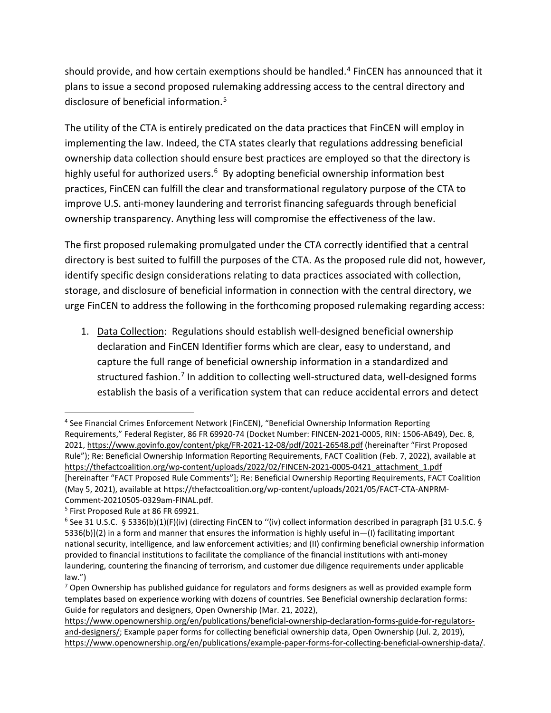should provide, and how certain exemptions should be handled. $4$  FinCEN has announced that it plans to issue a second proposed rulemaking addressing access to the central directory and disclosure of beneficial information.[5](#page-1-1)

The utility of the CTA is entirely predicated on the data practices that FinCEN will employ in implementing the law. Indeed, the CTA states clearly that regulations addressing beneficial ownership data collection should ensure best practices are employed so that the directory is highly useful for authorized users. $6$  By adopting beneficial ownership information best practices, FinCEN can fulfill the clear and transformational regulatory purpose of the CTA to improve U.S. anti-money laundering and terrorist financing safeguards through beneficial ownership transparency. Anything less will compromise the effectiveness of the law.

The first proposed rulemaking promulgated under the CTA correctly identified that a central directory is best suited to fulfill the purposes of the CTA. As the proposed rule did not, however, identify specific design considerations relating to data practices associated with collection, storage, and disclosure of beneficial information in connection with the central directory, we urge FinCEN to address the following in the forthcoming proposed rulemaking regarding access:

1. Data Collection: Regulations should establish well-designed beneficial ownership declaration and FinCEN Identifier forms which are clear, easy to understand, and capture the full range of beneficial ownership information in a standardized and structured fashion.<sup>[7](#page-1-3)</sup> In addition to collecting well-structured data, well-designed forms establish the basis of a verification system that can reduce accidental errors and detect

<span id="page-1-0"></span><sup>4</sup> See Financial Crimes Enforcement Network (FinCEN), "Beneficial Ownership Information Reporting Requirements," Federal Register, 86 FR 69920-74 (Docket Number: FINCEN-2021-0005, RIN: 1506-AB49), Dec. 8, 2021,<https://www.govinfo.gov/content/pkg/FR-2021-12-08/pdf/2021-26548.pdf> (hereinafter "First Proposed Rule"); Re: Beneficial Ownership Information Reporting Requirements, FACT Coalition (Feb. 7, 2022), available at [https://thefactcoalition.org/wp-content/uploads/2022/02/FINCEN-2021-0005-0421\\_attachment\\_1.pdf](https://thefactcoalition.org/wp-content/uploads/2022/02/FINCEN-2021-0005-0421_attachment_1.pdf) [hereinafter "FACT Proposed Rule Comments"]; Re: Beneficial Ownership Reporting Requirements, FACT Coalition (May 5, 2021), available at https://thefactcoalition.org/wp-content/uploads/2021/05/FACT-CTA-ANPRM-Comment-20210505-0329am-FINAL.pdf.

<span id="page-1-1"></span><sup>5</sup> First Proposed Rule at 86 FR 69921.

<span id="page-1-2"></span> $6$  See 31 U.S.C. § 5336(b)(1)(F)(iv) (directing FinCEN to "(iv) collect information described in paragraph [31 U.S.C. § 5336(b)](2) in a form and manner that ensures the information is highly useful in—(I) facilitating important national security, intelligence, and law enforcement activities; and (II) confirming beneficial ownership information provided to financial institutions to facilitate the compliance of the financial institutions with anti-money laundering, countering the financing of terrorism, and customer due diligence requirements under applicable law.")

<span id="page-1-3"></span> $7$  Open Ownership has published guidance for regulators and forms designers as well as provided example form templates based on experience working with dozens of countries. See Beneficial ownership declaration forms: Guide for regulators and designers, Open Ownership (Mar. 21, 2022),

[https://www.openownership.org/en/publications/beneficial-ownership-declaration-forms-guide-for-regulators](https://www.openownership.org/en/publications/beneficial-ownership-declaration-forms-guide-for-regulators-and-designers/)[and-designers/;](https://www.openownership.org/en/publications/beneficial-ownership-declaration-forms-guide-for-regulators-and-designers/) Example paper forms for collecting beneficial ownership data, Open Ownership (Jul. 2, 2019), [https://www.openownership.org/en/publications/example-paper-forms-for-collecting-beneficial-ownership-data/.](https://www.openownership.org/en/publications/example-paper-forms-for-collecting-beneficial-ownership-data/)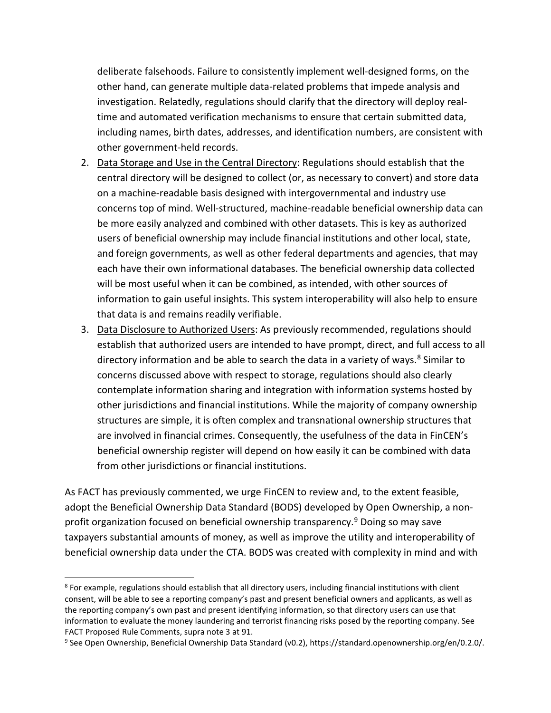deliberate falsehoods. Failure to consistently implement well-designed forms, on the other hand, can generate multiple data-related problems that impede analysis and investigation. Relatedly, regulations should clarify that the directory will deploy realtime and automated verification mechanisms to ensure that certain submitted data, including names, birth dates, addresses, and identification numbers, are consistent with other government-held records.

- 2. Data Storage and Use in the Central Directory: Regulations should establish that the central directory will be designed to collect (or, as necessary to convert) and store data on a machine-readable basis designed with intergovernmental and industry use concerns top of mind. Well-structured, machine-readable beneficial ownership data can be more easily analyzed and combined with other datasets. This is key as authorized users of beneficial ownership may include financial institutions and other local, state, and foreign governments, as well as other federal departments and agencies, that may each have their own informational databases. The beneficial ownership data collected will be most useful when it can be combined, as intended, with other sources of information to gain useful insights. This system interoperability will also help to ensure that data is and remains readily verifiable.
- 3. Data Disclosure to Authorized Users: As previously recommended, regulations should establish that authorized users are intended to have prompt, direct, and full access to all directory information and be able to search the data in a variety of ways. $8$  Similar to concerns discussed above with respect to storage, regulations should also clearly contemplate information sharing and integration with information systems hosted by other jurisdictions and financial institutions. While the majority of company ownership structures are simple, it is often complex and transnational ownership structures that are involved in financial crimes. Consequently, the usefulness of the data in FinCEN's beneficial ownership register will depend on how easily it can be combined with data from other jurisdictions or financial institutions.

As FACT has previously commented, we urge FinCEN to review and, to the extent feasible, adopt the Beneficial Ownership Data Standard (BODS) developed by Open Ownership, a non-profit organization focused on beneficial ownership transparency.<sup>[9](#page-2-1)</sup> Doing so may save taxpayers substantial amounts of money, as well as improve the utility and interoperability of beneficial ownership data under the CTA. BODS was created with complexity in mind and with

<span id="page-2-0"></span> $8$  For example, regulations should establish that all directory users, including financial institutions with client consent, will be able to see a reporting company's past and present beneficial owners and applicants, as well as the reporting company's own past and present identifying information, so that directory users can use that information to evaluate the money laundering and terrorist financing risks posed by the reporting company. See FACT Proposed Rule Comments, supra note 3 at 91.

<span id="page-2-1"></span><sup>9</sup> See Open Ownership, Beneficial Ownership Data Standard (v0.2), https://standard.openownership.org/en/0.2.0/.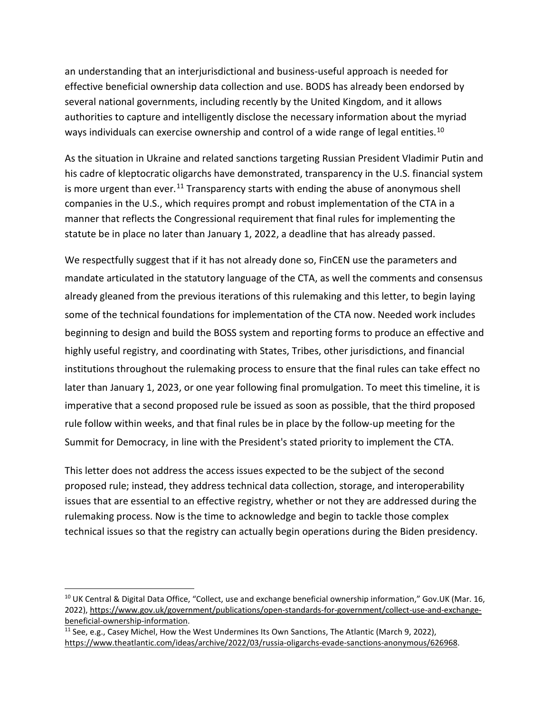an understanding that an interjurisdictional and business-useful approach is needed for effective beneficial ownership data collection and use. BODS has already been endorsed by several national governments, including recently by the United Kingdom, and it allows authorities to capture and intelligently disclose the necessary information about the myriad ways individuals can exercise ownership and control of a wide range of legal entities.<sup>10</sup>

As the situation in Ukraine and related sanctions targeting Russian President Vladimir Putin and his cadre of kleptocratic oligarchs have demonstrated, transparency in the U.S. financial system is more urgent than ever.<sup>[11](#page-3-1)</sup> Transparency starts with ending the abuse of anonymous shell companies in the U.S., which requires prompt and robust implementation of the CTA in a manner that reflects the Congressional requirement that final rules for implementing the statute be in place no later than January 1, 2022, a deadline that has already passed.

We respectfully suggest that if it has not already done so, FinCEN use the parameters and mandate articulated in the statutory language of the CTA, as well the comments and consensus already gleaned from the previous iterations of this rulemaking and this letter, to begin laying some of the technical foundations for implementation of the CTA now. Needed work includes beginning to design and build the BOSS system and reporting forms to produce an effective and highly useful registry, and coordinating with States, Tribes, other jurisdictions, and financial institutions throughout the rulemaking process to ensure that the final rules can take effect no later than January 1, 2023, or one year following final promulgation. To meet this timeline, it is imperative that a second proposed rule be issued as soon as possible, that the third proposed rule follow within weeks, and that final rules be in place by the follow-up meeting for the Summit for Democracy, in line with the President's stated priority to implement the CTA.

This letter does not address the access issues expected to be the subject of the second proposed rule; instead, they address technical data collection, storage, and interoperability issues that are essential to an effective registry, whether or not they are addressed during the rulemaking process. Now is the time to acknowledge and begin to tackle those complex technical issues so that the registry can actually begin operations during the Biden presidency.

<span id="page-3-0"></span> $10$  UK Central & Digital Data Office, "Collect, use and exchange beneficial ownership information," Gov.UK (Mar. 16, 2022), [https://www.gov.uk/government/publications/open-standards-for-government/collect-use-and-exchange](https://www.gov.uk/government/publications/open-standards-for-government/collect-use-and-exchange-beneficial-ownership-information)[beneficial-ownership-information.](https://www.gov.uk/government/publications/open-standards-for-government/collect-use-and-exchange-beneficial-ownership-information)<br><sup>11</sup> See, e.g., Casey Michel, How the West Undermines Its Own Sanctions, The Atlantic (March 9, 2022),

<span id="page-3-1"></span>[https://www.theatlantic.com/ideas/archive/2022/03/russia-oligarchs-evade-sanctions-anonymous/626968.](https://www.theatlantic.com/ideas/archive/2022/03/russia-oligarchs-evade-sanctions-anonymous/626968)